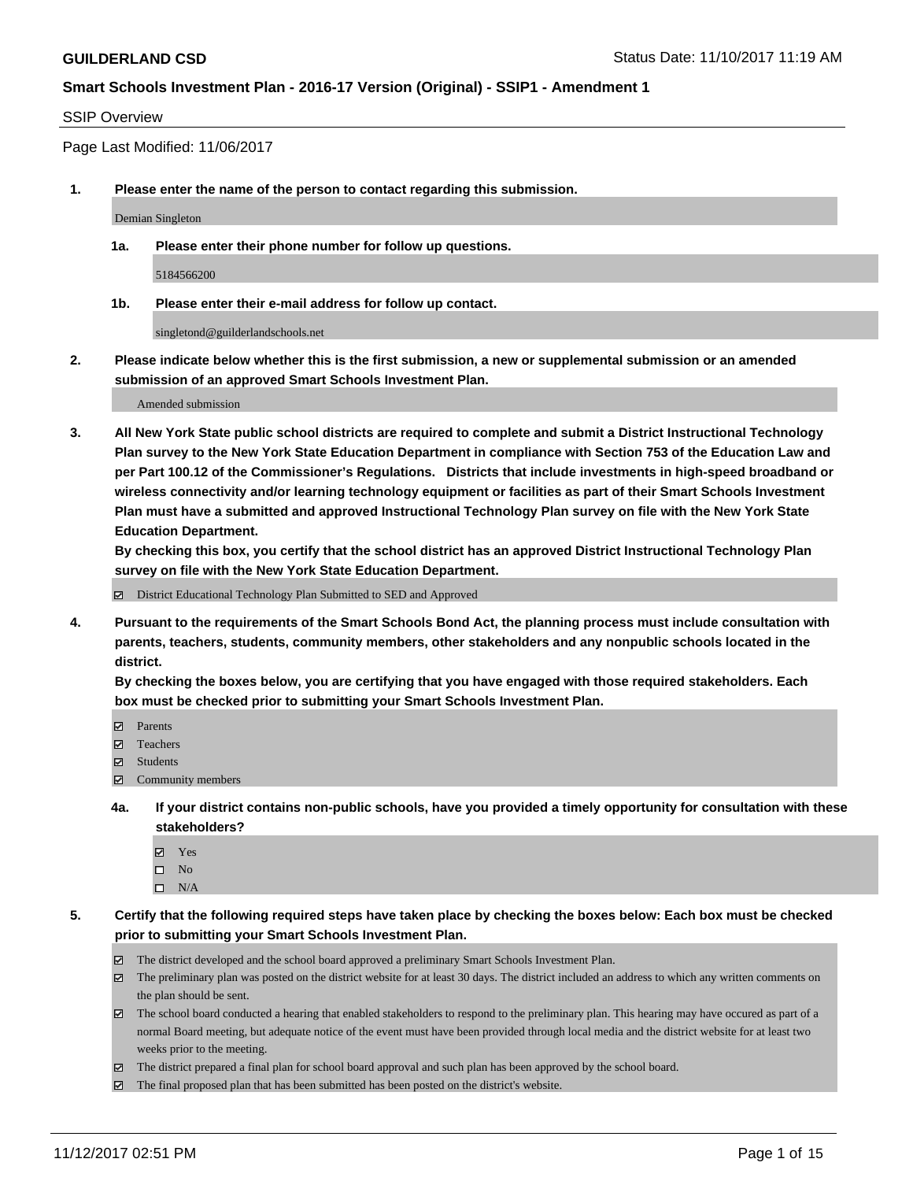#### SSIP Overview

Page Last Modified: 11/06/2017

**1. Please enter the name of the person to contact regarding this submission.**

Demian Singleton

**1a. Please enter their phone number for follow up questions.**

5184566200

**1b. Please enter their e-mail address for follow up contact.**

singletond@guilderlandschools.net

**2. Please indicate below whether this is the first submission, a new or supplemental submission or an amended submission of an approved Smart Schools Investment Plan.**

Amended submission

**3. All New York State public school districts are required to complete and submit a District Instructional Technology Plan survey to the New York State Education Department in compliance with Section 753 of the Education Law and per Part 100.12 of the Commissioner's Regulations. Districts that include investments in high-speed broadband or wireless connectivity and/or learning technology equipment or facilities as part of their Smart Schools Investment Plan must have a submitted and approved Instructional Technology Plan survey on file with the New York State Education Department.** 

**By checking this box, you certify that the school district has an approved District Instructional Technology Plan survey on file with the New York State Education Department.**

District Educational Technology Plan Submitted to SED and Approved

**4. Pursuant to the requirements of the Smart Schools Bond Act, the planning process must include consultation with parents, teachers, students, community members, other stakeholders and any nonpublic schools located in the district.** 

**By checking the boxes below, you are certifying that you have engaged with those required stakeholders. Each box must be checked prior to submitting your Smart Schools Investment Plan.**

- **Parents**
- Teachers
- **☑** Students
- Community members
- **4a. If your district contains non-public schools, have you provided a timely opportunity for consultation with these stakeholders?**
	- **Ø** Yes
	- $\square$  No
	- $\square$  N/A

**5. Certify that the following required steps have taken place by checking the boxes below: Each box must be checked prior to submitting your Smart Schools Investment Plan.**

- The district developed and the school board approved a preliminary Smart Schools Investment Plan.
- The preliminary plan was posted on the district website for at least 30 days. The district included an address to which any written comments on the plan should be sent.
- The school board conducted a hearing that enabled stakeholders to respond to the preliminary plan. This hearing may have occured as part of a normal Board meeting, but adequate notice of the event must have been provided through local media and the district website for at least two weeks prior to the meeting.
- The district prepared a final plan for school board approval and such plan has been approved by the school board.
- $\boxtimes$  The final proposed plan that has been submitted has been posted on the district's website.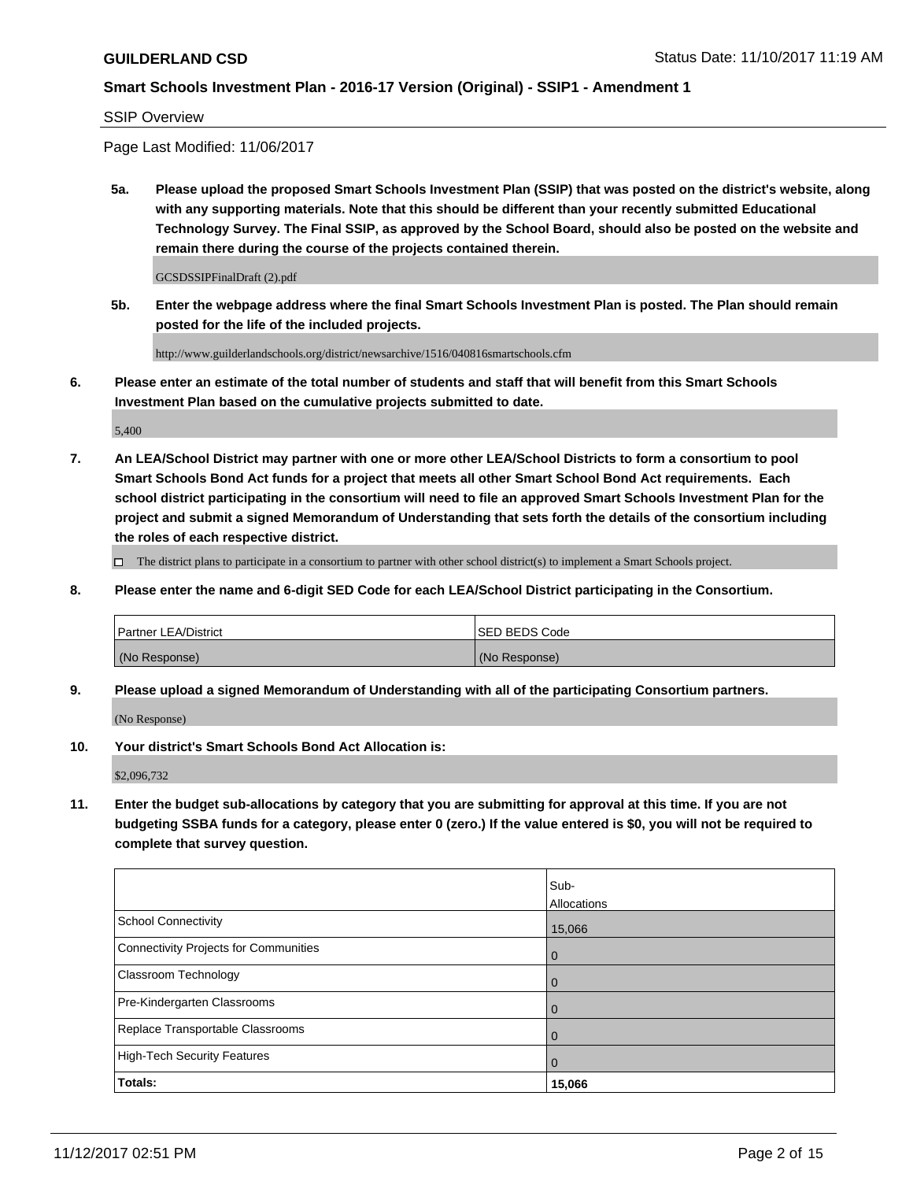SSIP Overview

Page Last Modified: 11/06/2017

**5a. Please upload the proposed Smart Schools Investment Plan (SSIP) that was posted on the district's website, along with any supporting materials. Note that this should be different than your recently submitted Educational Technology Survey. The Final SSIP, as approved by the School Board, should also be posted on the website and remain there during the course of the projects contained therein.**

GCSDSSIPFinalDraft (2).pdf

**5b. Enter the webpage address where the final Smart Schools Investment Plan is posted. The Plan should remain posted for the life of the included projects.**

http://www.guilderlandschools.org/district/newsarchive/1516/040816smartschools.cfm

**6. Please enter an estimate of the total number of students and staff that will benefit from this Smart Schools Investment Plan based on the cumulative projects submitted to date.**

5,400

**7. An LEA/School District may partner with one or more other LEA/School Districts to form a consortium to pool Smart Schools Bond Act funds for a project that meets all other Smart School Bond Act requirements. Each school district participating in the consortium will need to file an approved Smart Schools Investment Plan for the project and submit a signed Memorandum of Understanding that sets forth the details of the consortium including the roles of each respective district.**

 $\Box$  The district plans to participate in a consortium to partner with other school district(s) to implement a Smart Schools project.

**8. Please enter the name and 6-digit SED Code for each LEA/School District participating in the Consortium.**

| <b>Partner LEA/District</b> | <b>ISED BEDS Code</b> |
|-----------------------------|-----------------------|
| (No Response)               | (No Response)         |

**9. Please upload a signed Memorandum of Understanding with all of the participating Consortium partners.**

(No Response)

**10. Your district's Smart Schools Bond Act Allocation is:**

\$2,096,732

**11. Enter the budget sub-allocations by category that you are submitting for approval at this time. If you are not budgeting SSBA funds for a category, please enter 0 (zero.) If the value entered is \$0, you will not be required to complete that survey question.**

|                                              | Sub-<br>Allocations |
|----------------------------------------------|---------------------|
| <b>School Connectivity</b>                   |                     |
|                                              | 15,066              |
| <b>Connectivity Projects for Communities</b> | $\overline{0}$      |
| Classroom Technology                         | $\overline{0}$      |
| Pre-Kindergarten Classrooms                  | 0                   |
| Replace Transportable Classrooms             | $\mathbf 0$         |
| <b>High-Tech Security Features</b>           | $\overline{0}$      |
| Totals:                                      | 15,066              |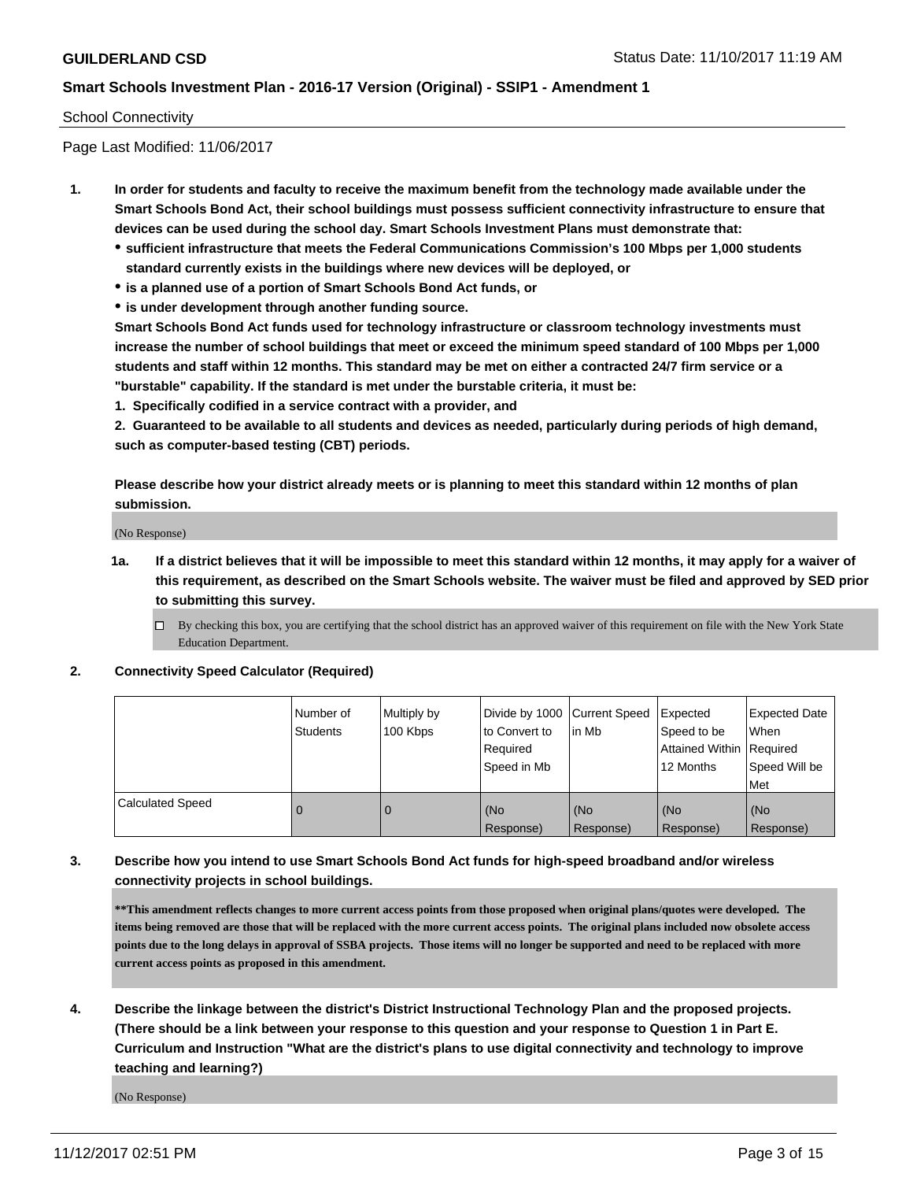#### School Connectivity

Page Last Modified: 11/06/2017

- **1. In order for students and faculty to receive the maximum benefit from the technology made available under the Smart Schools Bond Act, their school buildings must possess sufficient connectivity infrastructure to ensure that devices can be used during the school day. Smart Schools Investment Plans must demonstrate that:**
	- **sufficient infrastructure that meets the Federal Communications Commission's 100 Mbps per 1,000 students standard currently exists in the buildings where new devices will be deployed, or**
	- **is a planned use of a portion of Smart Schools Bond Act funds, or**
	- **is under development through another funding source.**

**Smart Schools Bond Act funds used for technology infrastructure or classroom technology investments must increase the number of school buildings that meet or exceed the minimum speed standard of 100 Mbps per 1,000 students and staff within 12 months. This standard may be met on either a contracted 24/7 firm service or a "burstable" capability. If the standard is met under the burstable criteria, it must be:**

**1. Specifically codified in a service contract with a provider, and**

**2. Guaranteed to be available to all students and devices as needed, particularly during periods of high demand, such as computer-based testing (CBT) periods.**

**Please describe how your district already meets or is planning to meet this standard within 12 months of plan submission.**

(No Response)

**1a. If a district believes that it will be impossible to meet this standard within 12 months, it may apply for a waiver of this requirement, as described on the Smart Schools website. The waiver must be filed and approved by SED prior to submitting this survey.**

**2. Connectivity Speed Calculator (Required)**

|                         | I Number of<br><b>Students</b> | Multiply by<br>100 Kbps | Divide by 1000   Current Speed<br>to Convert to<br>Required<br>Speed in Mb | lin Mb           | Expected<br>Speed to be<br>Attained Within   Required<br>12 Months | <b>Expected Date</b><br>When<br>Speed Will be<br><b>Met</b> |
|-------------------------|--------------------------------|-------------------------|----------------------------------------------------------------------------|------------------|--------------------------------------------------------------------|-------------------------------------------------------------|
| <b>Calculated Speed</b> |                                | 0                       | (No<br>Response)                                                           | (No<br>Response) | (No<br>Response)                                                   | (No<br>Response)                                            |

## **3. Describe how you intend to use Smart Schools Bond Act funds for high-speed broadband and/or wireless connectivity projects in school buildings.**

**\*\*This amendment reflects changes to more current access points from those proposed when original plans/quotes were developed. The items being removed are those that will be replaced with the more current access points. The original plans included now obsolete access points due to the long delays in approval of SSBA projects. Those items will no longer be supported and need to be replaced with more current access points as proposed in this amendment.**

**4. Describe the linkage between the district's District Instructional Technology Plan and the proposed projects. (There should be a link between your response to this question and your response to Question 1 in Part E. Curriculum and Instruction "What are the district's plans to use digital connectivity and technology to improve teaching and learning?)**

(No Response)

 $\Box$  By checking this box, you are certifying that the school district has an approved waiver of this requirement on file with the New York State Education Department.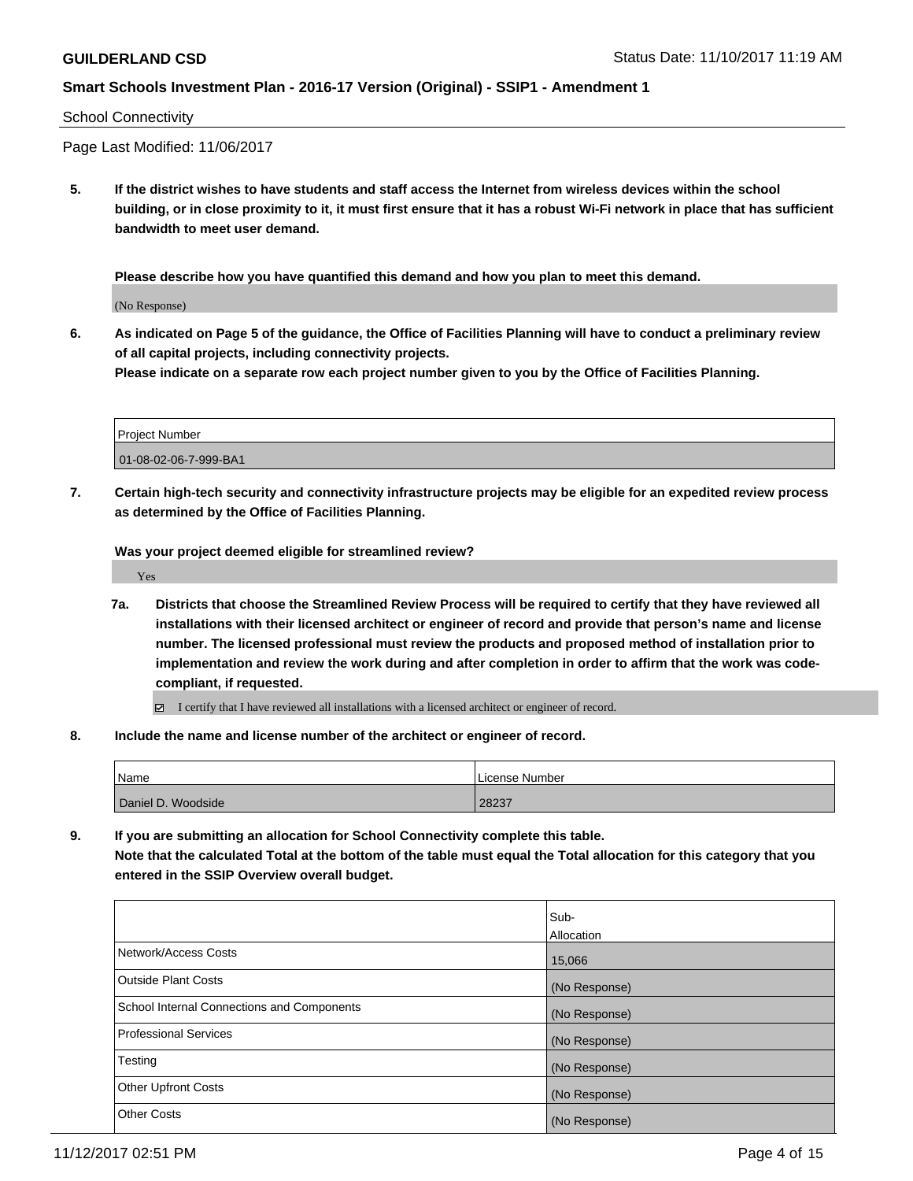#### School Connectivity

Page Last Modified: 11/06/2017

**5. If the district wishes to have students and staff access the Internet from wireless devices within the school building, or in close proximity to it, it must first ensure that it has a robust Wi-Fi network in place that has sufficient bandwidth to meet user demand.**

**Please describe how you have quantified this demand and how you plan to meet this demand.**

(No Response)

**6. As indicated on Page 5 of the guidance, the Office of Facilities Planning will have to conduct a preliminary review of all capital projects, including connectivity projects.**

**Please indicate on a separate row each project number given to you by the Office of Facilities Planning.**

| <b>Project Number</b> |  |
|-----------------------|--|
| 01-08-02-06-7-999-BA1 |  |

**7. Certain high-tech security and connectivity infrastructure projects may be eligible for an expedited review process as determined by the Office of Facilities Planning.**

**Was your project deemed eligible for streamlined review?**

Yes

- **7a. Districts that choose the Streamlined Review Process will be required to certify that they have reviewed all installations with their licensed architect or engineer of record and provide that person's name and license number. The licensed professional must review the products and proposed method of installation prior to implementation and review the work during and after completion in order to affirm that the work was codecompliant, if requested.**
	- I certify that I have reviewed all installations with a licensed architect or engineer of record.
- **8. Include the name and license number of the architect or engineer of record.**

| Name               | License Number |
|--------------------|----------------|
| Daniel D. Woodside | 28237          |

**9. If you are submitting an allocation for School Connectivity complete this table. Note that the calculated Total at the bottom of the table must equal the Total allocation for this category that you entered in the SSIP Overview overall budget.** 

|                                                   | Sub-<br><b>Allocation</b> |
|---------------------------------------------------|---------------------------|
| Network/Access Costs                              | 15,066                    |
| Outside Plant Costs                               | (No Response)             |
| <b>School Internal Connections and Components</b> | (No Response)             |
| Professional Services                             | (No Response)             |
| Testing                                           | (No Response)             |
| <b>Other Upfront Costs</b>                        | (No Response)             |
| <b>Other Costs</b>                                | (No Response)             |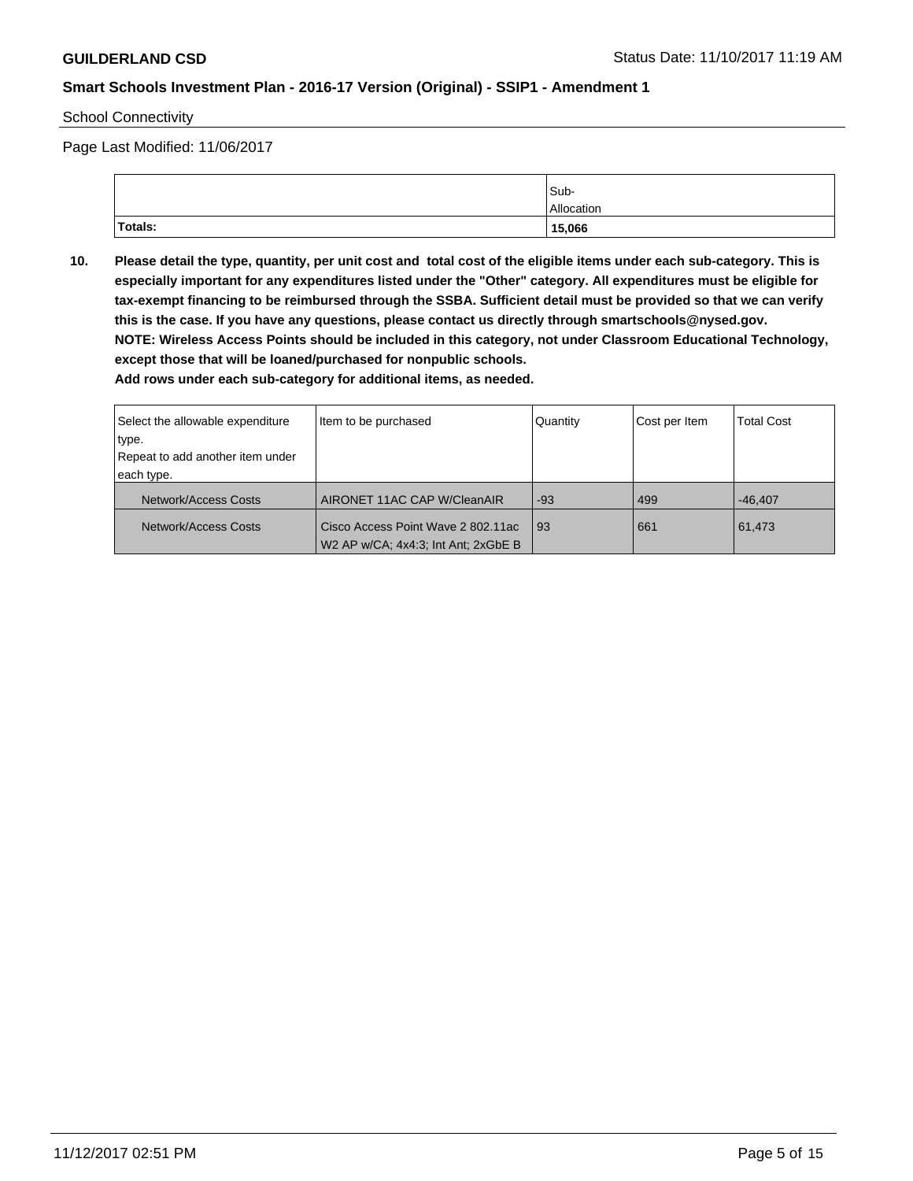School Connectivity

Page Last Modified: 11/06/2017

|          | Sub-       |
|----------|------------|
|          | Allocation |
| 'Totals: | 15,066     |

**10. Please detail the type, quantity, per unit cost and total cost of the eligible items under each sub-category. This is especially important for any expenditures listed under the "Other" category. All expenditures must be eligible for tax-exempt financing to be reimbursed through the SSBA. Sufficient detail must be provided so that we can verify this is the case. If you have any questions, please contact us directly through smartschools@nysed.gov. NOTE: Wireless Access Points should be included in this category, not under Classroom Educational Technology, except those that will be loaned/purchased for nonpublic schools.**

| Select the allowable expenditure                           | Item to be purchased | Quantity | Cost per Item | <b>Total Cost</b> |
|------------------------------------------------------------|----------------------|----------|---------------|-------------------|
| type.                                                      |                      |          |               |                   |
| Repeat to add another item under                           |                      |          |               |                   |
| each type.                                                 |                      |          |               |                   |
| AIRONET 11AC CAP W/CleanAIR<br>Network/Access Costs        |                      | $-93$    | 499           | $-46.407$         |
| Cisco Access Point Wave 2 802.11ac<br>Network/Access Costs |                      | l 93     | 661           | 61,473            |
| W2 AP w/CA; 4x4:3; Int Ant; 2xGbE B                        |                      |          |               |                   |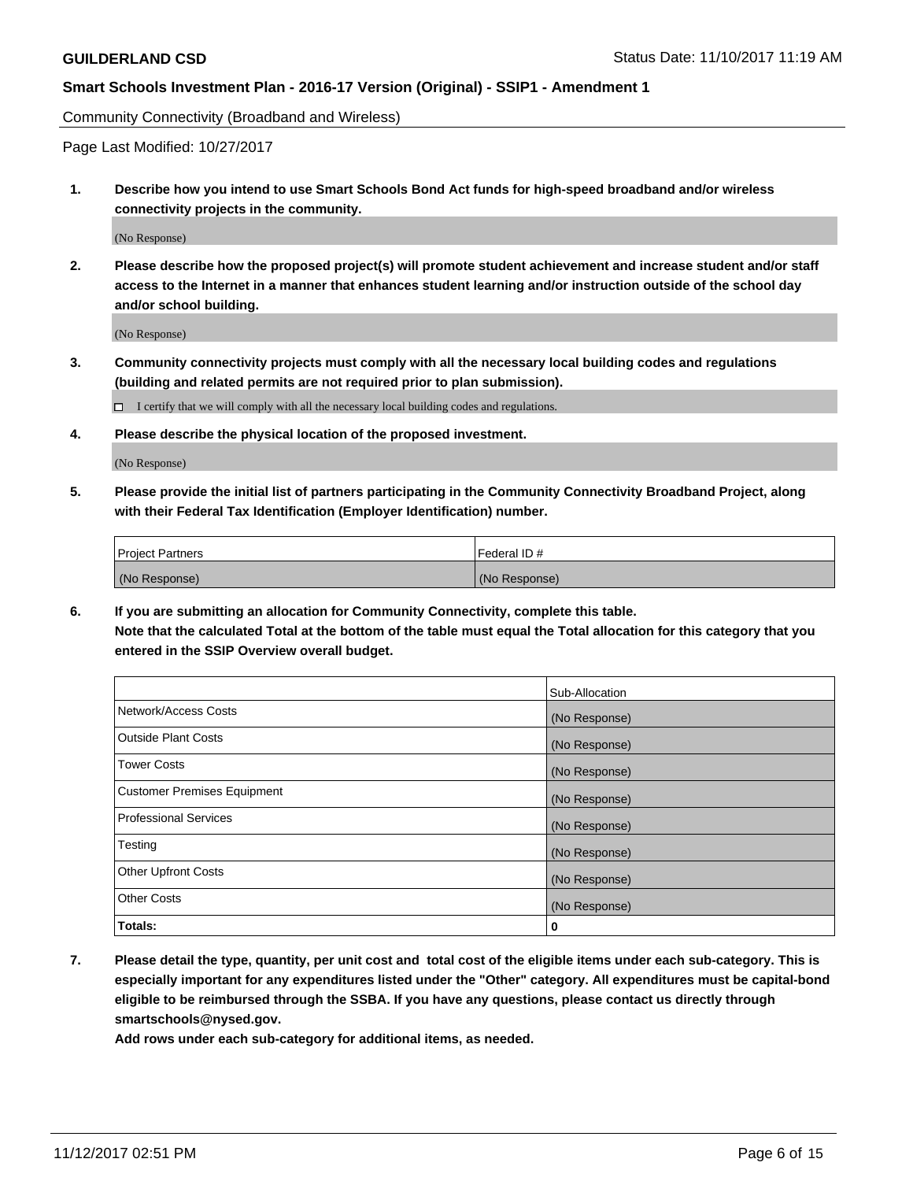Community Connectivity (Broadband and Wireless)

Page Last Modified: 10/27/2017

**1. Describe how you intend to use Smart Schools Bond Act funds for high-speed broadband and/or wireless connectivity projects in the community.**

(No Response)

**2. Please describe how the proposed project(s) will promote student achievement and increase student and/or staff access to the Internet in a manner that enhances student learning and/or instruction outside of the school day and/or school building.**

(No Response)

- **3. Community connectivity projects must comply with all the necessary local building codes and regulations (building and related permits are not required prior to plan submission).**
	- $\Box$  I certify that we will comply with all the necessary local building codes and regulations.
- **4. Please describe the physical location of the proposed investment.**

(No Response)

**5. Please provide the initial list of partners participating in the Community Connectivity Broadband Project, along with their Federal Tax Identification (Employer Identification) number.**

| <b>Project Partners</b> | l Federal ID # |
|-------------------------|----------------|
| (No Response)           | (No Response)  |

**6. If you are submitting an allocation for Community Connectivity, complete this table. Note that the calculated Total at the bottom of the table must equal the Total allocation for this category that you entered in the SSIP Overview overall budget.**

|                                    | Sub-Allocation |
|------------------------------------|----------------|
| Network/Access Costs               | (No Response)  |
| <b>Outside Plant Costs</b>         | (No Response)  |
| <b>Tower Costs</b>                 | (No Response)  |
| <b>Customer Premises Equipment</b> | (No Response)  |
| <b>Professional Services</b>       | (No Response)  |
| Testing                            | (No Response)  |
| <b>Other Upfront Costs</b>         | (No Response)  |
| <b>Other Costs</b>                 | (No Response)  |
| Totals:                            | 0              |

**7. Please detail the type, quantity, per unit cost and total cost of the eligible items under each sub-category. This is especially important for any expenditures listed under the "Other" category. All expenditures must be capital-bond eligible to be reimbursed through the SSBA. If you have any questions, please contact us directly through smartschools@nysed.gov.**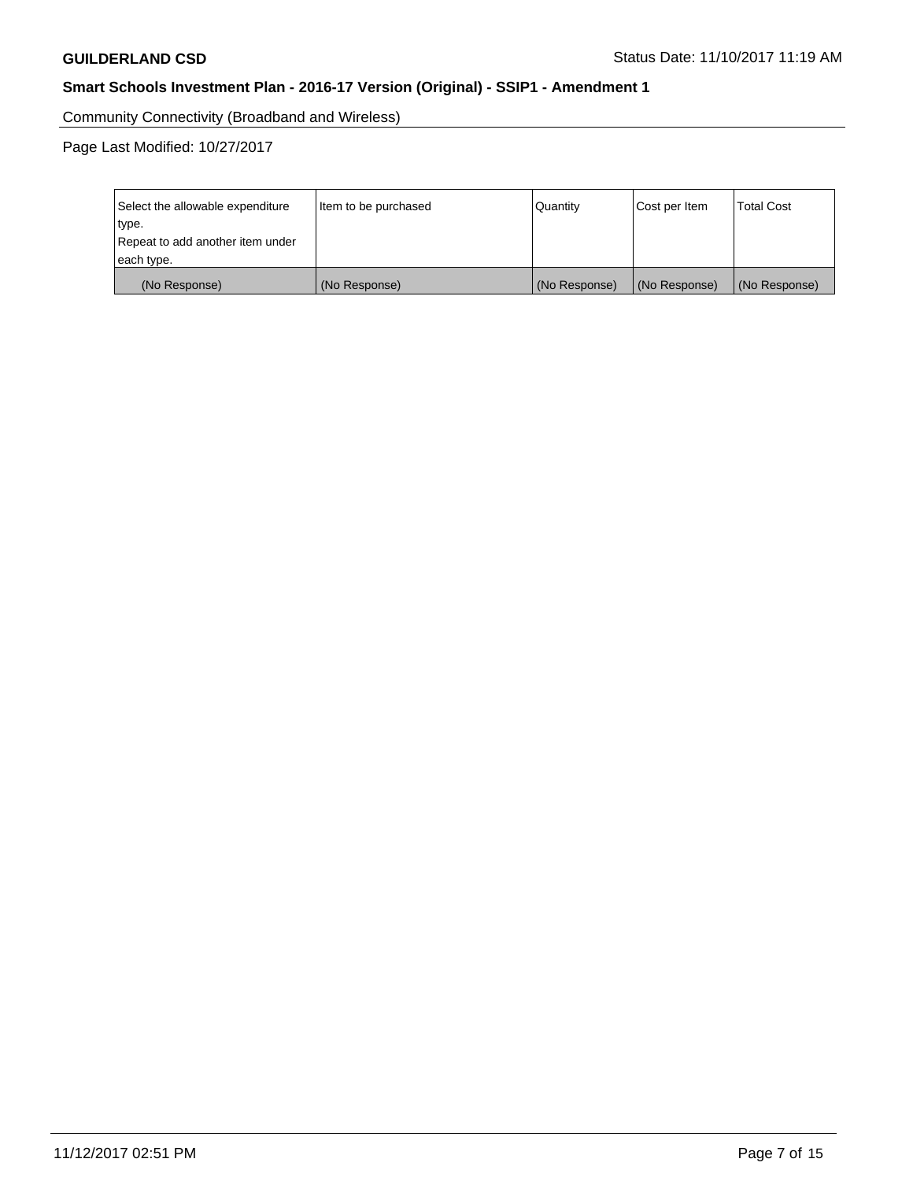Community Connectivity (Broadband and Wireless)

Page Last Modified: 10/27/2017

| Select the allowable expenditure<br>type.<br>Repeat to add another item under | Item to be purchased | Quantity      | Cost per Item | <b>Total Cost</b> |
|-------------------------------------------------------------------------------|----------------------|---------------|---------------|-------------------|
| each type.                                                                    |                      |               |               |                   |
| (No Response)                                                                 | (No Response)        | (No Response) | (No Response) | (No Response)     |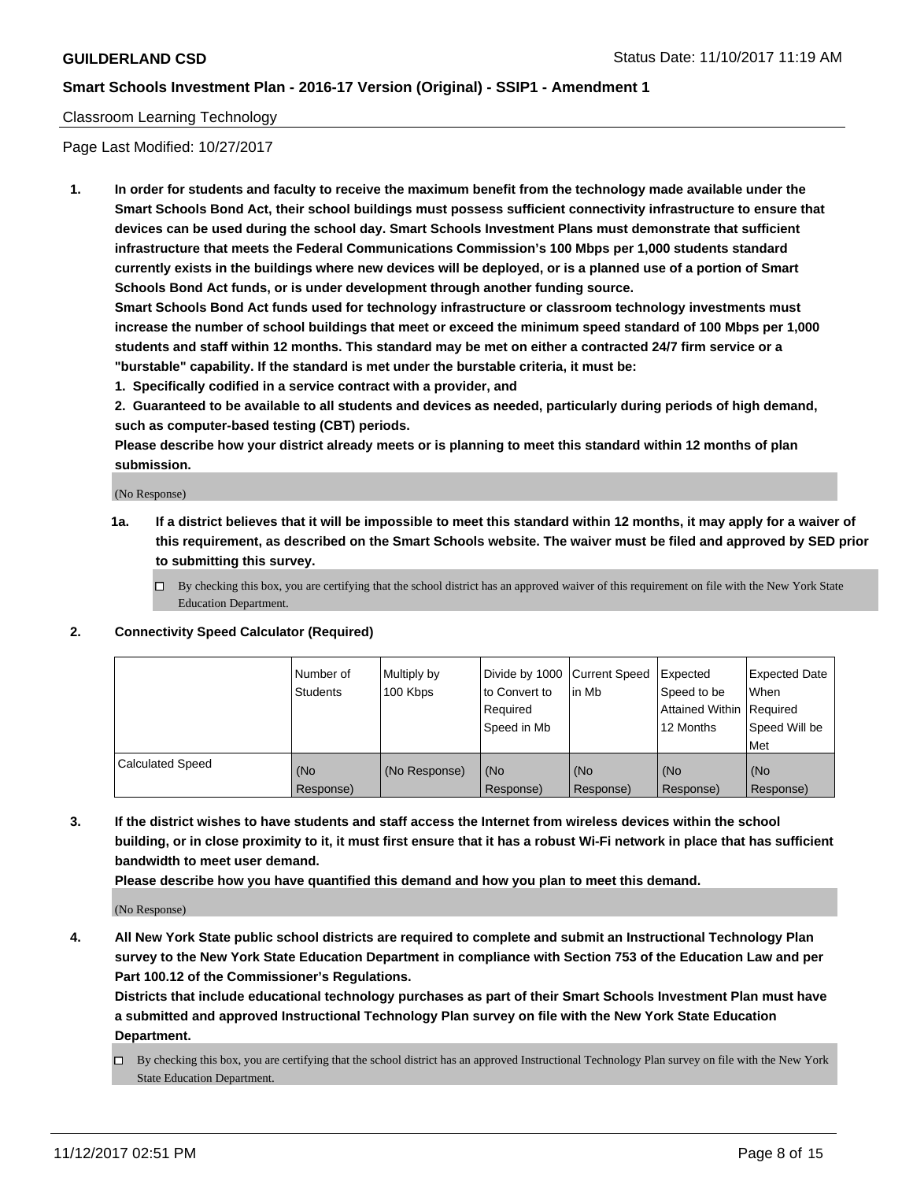#### Classroom Learning Technology

Page Last Modified: 10/27/2017

**1. In order for students and faculty to receive the maximum benefit from the technology made available under the Smart Schools Bond Act, their school buildings must possess sufficient connectivity infrastructure to ensure that devices can be used during the school day. Smart Schools Investment Plans must demonstrate that sufficient infrastructure that meets the Federal Communications Commission's 100 Mbps per 1,000 students standard currently exists in the buildings where new devices will be deployed, or is a planned use of a portion of Smart Schools Bond Act funds, or is under development through another funding source.**

**Smart Schools Bond Act funds used for technology infrastructure or classroom technology investments must increase the number of school buildings that meet or exceed the minimum speed standard of 100 Mbps per 1,000 students and staff within 12 months. This standard may be met on either a contracted 24/7 firm service or a "burstable" capability. If the standard is met under the burstable criteria, it must be:**

**1. Specifically codified in a service contract with a provider, and**

**2. Guaranteed to be available to all students and devices as needed, particularly during periods of high demand, such as computer-based testing (CBT) periods.**

**Please describe how your district already meets or is planning to meet this standard within 12 months of plan submission.**

(No Response)

- **1a. If a district believes that it will be impossible to meet this standard within 12 months, it may apply for a waiver of this requirement, as described on the Smart Schools website. The waiver must be filed and approved by SED prior to submitting this survey.**
	- $\Box$  By checking this box, you are certifying that the school district has an approved waiver of this requirement on file with the New York State Education Department.
- **2. Connectivity Speed Calculator (Required)**

|                         | Number of<br><b>Students</b> | Multiply by<br>100 Kbps | Divide by 1000 Current Speed<br>to Convert to<br>Reauired<br>Speed in Mb | l in Mb          | Expected<br>Speed to be<br>Attained Within   Required<br>12 Months | Expected Date<br>When<br>Speed Will be<br>Met |
|-------------------------|------------------------------|-------------------------|--------------------------------------------------------------------------|------------------|--------------------------------------------------------------------|-----------------------------------------------|
| <b>Calculated Speed</b> | (No<br>Response)             | (No Response)           | (No<br>Response)                                                         | (No<br>Response) | (No<br>Response)                                                   | (No<br>Response)                              |

**3. If the district wishes to have students and staff access the Internet from wireless devices within the school building, or in close proximity to it, it must first ensure that it has a robust Wi-Fi network in place that has sufficient bandwidth to meet user demand.**

**Please describe how you have quantified this demand and how you plan to meet this demand.**

(No Response)

**4. All New York State public school districts are required to complete and submit an Instructional Technology Plan survey to the New York State Education Department in compliance with Section 753 of the Education Law and per Part 100.12 of the Commissioner's Regulations.**

**Districts that include educational technology purchases as part of their Smart Schools Investment Plan must have a submitted and approved Instructional Technology Plan survey on file with the New York State Education Department.**

By checking this box, you are certifying that the school district has an approved Instructional Technology Plan survey on file with the New York State Education Department.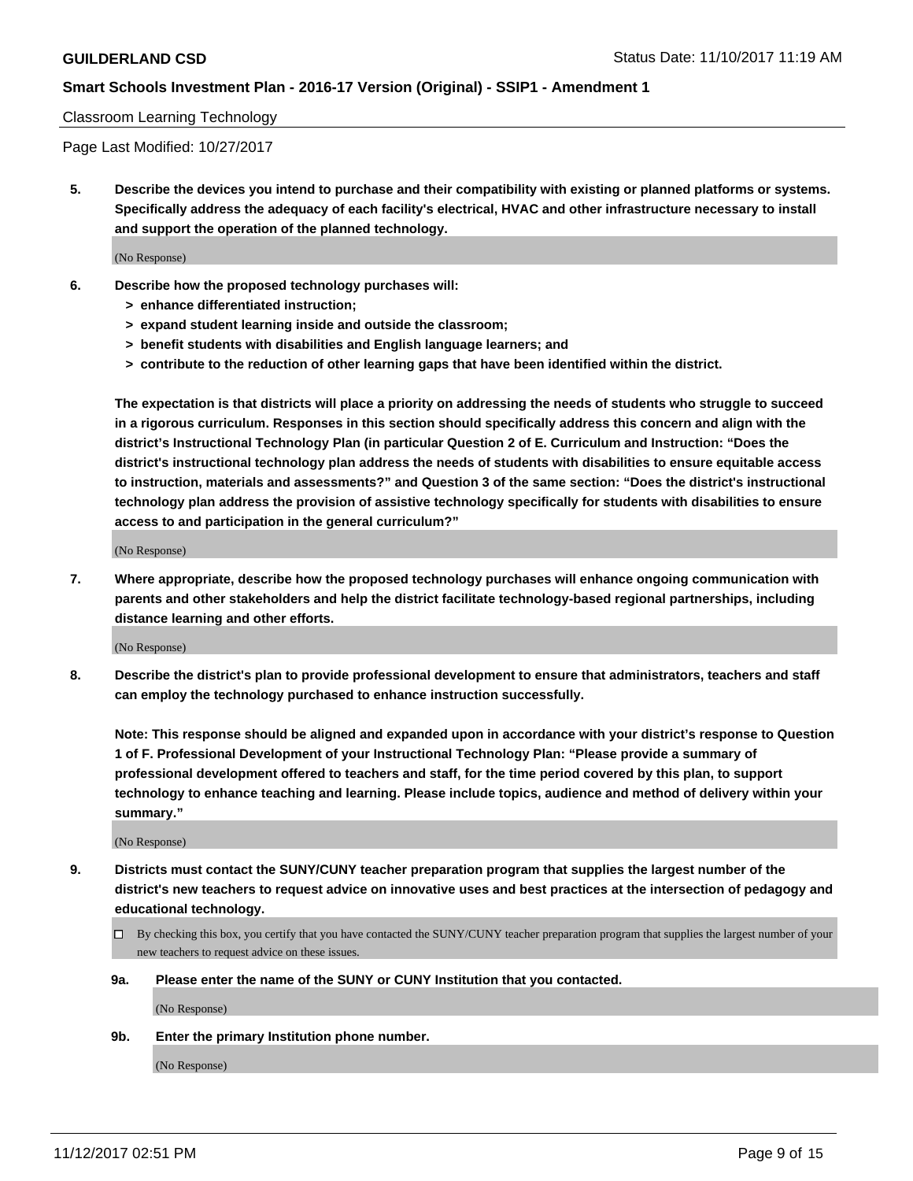#### Classroom Learning Technology

Page Last Modified: 10/27/2017

**5. Describe the devices you intend to purchase and their compatibility with existing or planned platforms or systems. Specifically address the adequacy of each facility's electrical, HVAC and other infrastructure necessary to install and support the operation of the planned technology.**

(No Response)

- **6. Describe how the proposed technology purchases will:**
	- **> enhance differentiated instruction;**
	- **> expand student learning inside and outside the classroom;**
	- **> benefit students with disabilities and English language learners; and**
	- **> contribute to the reduction of other learning gaps that have been identified within the district.**

**The expectation is that districts will place a priority on addressing the needs of students who struggle to succeed in a rigorous curriculum. Responses in this section should specifically address this concern and align with the district's Instructional Technology Plan (in particular Question 2 of E. Curriculum and Instruction: "Does the district's instructional technology plan address the needs of students with disabilities to ensure equitable access to instruction, materials and assessments?" and Question 3 of the same section: "Does the district's instructional technology plan address the provision of assistive technology specifically for students with disabilities to ensure access to and participation in the general curriculum?"**

(No Response)

**7. Where appropriate, describe how the proposed technology purchases will enhance ongoing communication with parents and other stakeholders and help the district facilitate technology-based regional partnerships, including distance learning and other efforts.**

(No Response)

**8. Describe the district's plan to provide professional development to ensure that administrators, teachers and staff can employ the technology purchased to enhance instruction successfully.**

**Note: This response should be aligned and expanded upon in accordance with your district's response to Question 1 of F. Professional Development of your Instructional Technology Plan: "Please provide a summary of professional development offered to teachers and staff, for the time period covered by this plan, to support technology to enhance teaching and learning. Please include topics, audience and method of delivery within your summary."**

(No Response)

- **9. Districts must contact the SUNY/CUNY teacher preparation program that supplies the largest number of the district's new teachers to request advice on innovative uses and best practices at the intersection of pedagogy and educational technology.**
	- By checking this box, you certify that you have contacted the SUNY/CUNY teacher preparation program that supplies the largest number of your new teachers to request advice on these issues.
	- **9a. Please enter the name of the SUNY or CUNY Institution that you contacted.**

(No Response)

**9b. Enter the primary Institution phone number.**

(No Response)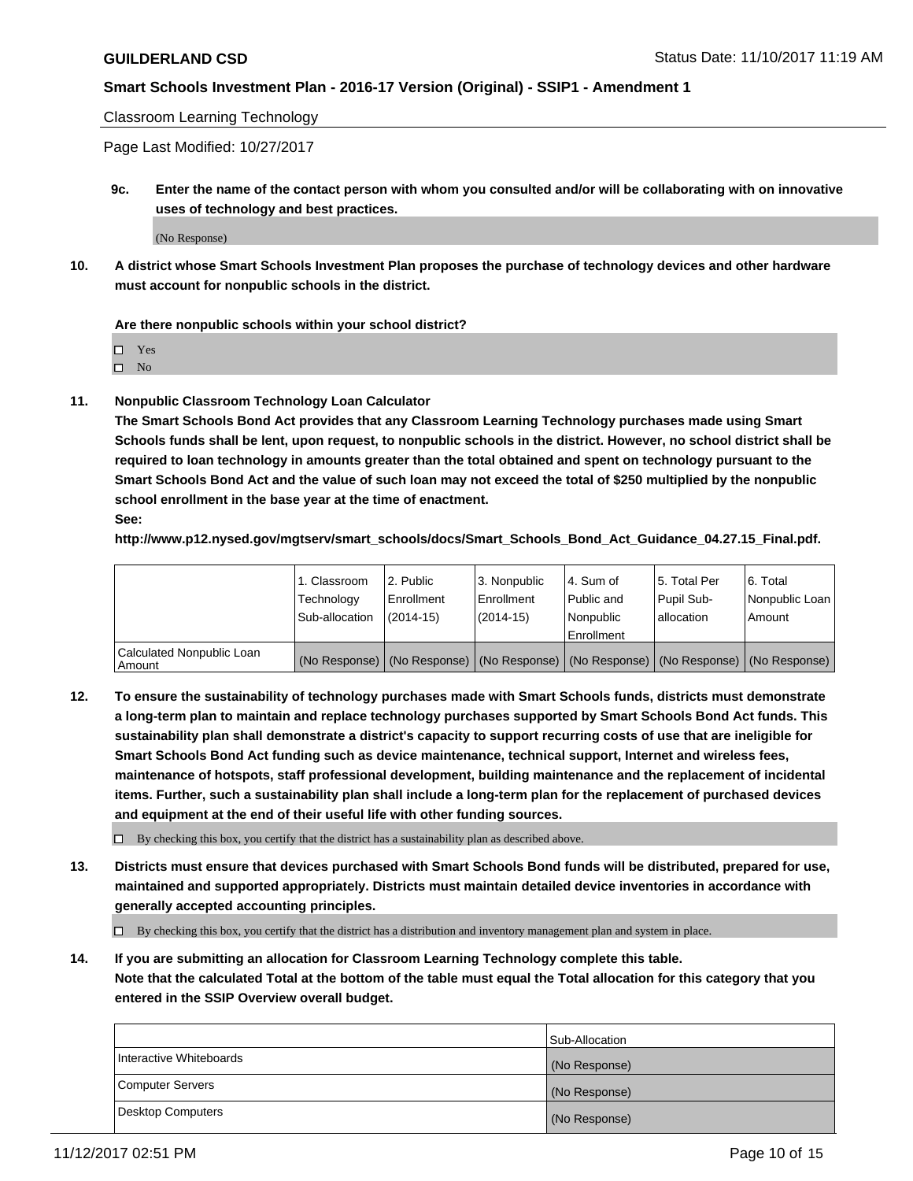Classroom Learning Technology

Page Last Modified: 10/27/2017

**9c. Enter the name of the contact person with whom you consulted and/or will be collaborating with on innovative uses of technology and best practices.**

(No Response)

**10. A district whose Smart Schools Investment Plan proposes the purchase of technology devices and other hardware must account for nonpublic schools in the district.**

**Are there nonpublic schools within your school district?**

Yes

 $\square$  No

**11. Nonpublic Classroom Technology Loan Calculator**

**The Smart Schools Bond Act provides that any Classroom Learning Technology purchases made using Smart Schools funds shall be lent, upon request, to nonpublic schools in the district. However, no school district shall be required to loan technology in amounts greater than the total obtained and spent on technology pursuant to the Smart Schools Bond Act and the value of such loan may not exceed the total of \$250 multiplied by the nonpublic school enrollment in the base year at the time of enactment.**

**See:**

**http://www.p12.nysed.gov/mgtserv/smart\_schools/docs/Smart\_Schools\_Bond\_Act\_Guidance\_04.27.15\_Final.pdf.**

|                                       | 1. Classroom   | l 2. Public   | 3. Nonpublic | l 4. Sum of | 15. Total Per                                                                                 | 6. Total       |
|---------------------------------------|----------------|---------------|--------------|-------------|-----------------------------------------------------------------------------------------------|----------------|
|                                       | Technology     | Enrollment    | Enrollment   | Public and  | Pupil Sub-                                                                                    | Nonpublic Loan |
|                                       | Sub-allocation | $(2014 - 15)$ | $(2014-15)$  | l Nonpublic | allocation                                                                                    | Amount         |
|                                       |                |               |              | Enrollment  |                                                                                               |                |
| Calculated Nonpublic Loan<br>  Amount |                |               |              |             | (No Response)   (No Response)   (No Response)   (No Response)   (No Response)   (No Response) |                |

**12. To ensure the sustainability of technology purchases made with Smart Schools funds, districts must demonstrate a long-term plan to maintain and replace technology purchases supported by Smart Schools Bond Act funds. This sustainability plan shall demonstrate a district's capacity to support recurring costs of use that are ineligible for Smart Schools Bond Act funding such as device maintenance, technical support, Internet and wireless fees, maintenance of hotspots, staff professional development, building maintenance and the replacement of incidental items. Further, such a sustainability plan shall include a long-term plan for the replacement of purchased devices and equipment at the end of their useful life with other funding sources.**

 $\Box$  By checking this box, you certify that the district has a sustainability plan as described above.

**13. Districts must ensure that devices purchased with Smart Schools Bond funds will be distributed, prepared for use, maintained and supported appropriately. Districts must maintain detailed device inventories in accordance with generally accepted accounting principles.**

By checking this box, you certify that the district has a distribution and inventory management plan and system in place.

**14. If you are submitting an allocation for Classroom Learning Technology complete this table. Note that the calculated Total at the bottom of the table must equal the Total allocation for this category that you entered in the SSIP Overview overall budget.**

|                         | Sub-Allocation |
|-------------------------|----------------|
| Interactive Whiteboards | (No Response)  |
| Computer Servers        | (No Response)  |
| Desktop Computers       | (No Response)  |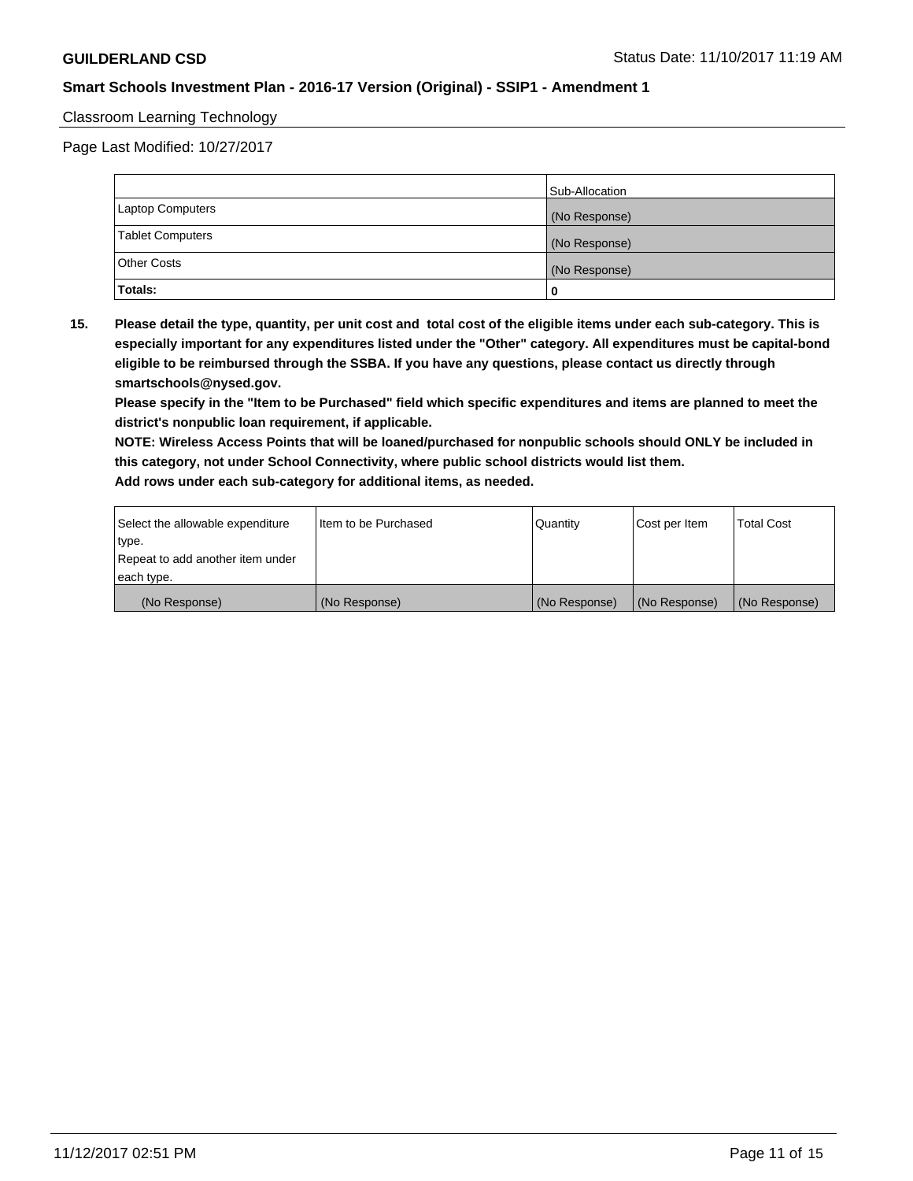#### Classroom Learning Technology

Page Last Modified: 10/27/2017

|                         | Sub-Allocation |
|-------------------------|----------------|
| <b>Laptop Computers</b> | (No Response)  |
| <b>Tablet Computers</b> | (No Response)  |
| <b>Other Costs</b>      | (No Response)  |
| Totals:                 |                |

**15. Please detail the type, quantity, per unit cost and total cost of the eligible items under each sub-category. This is especially important for any expenditures listed under the "Other" category. All expenditures must be capital-bond eligible to be reimbursed through the SSBA. If you have any questions, please contact us directly through smartschools@nysed.gov.**

**Please specify in the "Item to be Purchased" field which specific expenditures and items are planned to meet the district's nonpublic loan requirement, if applicable.**

**NOTE: Wireless Access Points that will be loaned/purchased for nonpublic schools should ONLY be included in this category, not under School Connectivity, where public school districts would list them. Add rows under each sub-category for additional items, as needed.**

| Select the allowable expenditure | I Item to be Purchased | Quantity      | Cost per Item   | <b>Total Cost</b> |
|----------------------------------|------------------------|---------------|-----------------|-------------------|
| type.                            |                        |               |                 |                   |
| Repeat to add another item under |                        |               |                 |                   |
| each type.                       |                        |               |                 |                   |
| (No Response)                    | (No Response)          | (No Response) | l (No Response) | (No Response)     |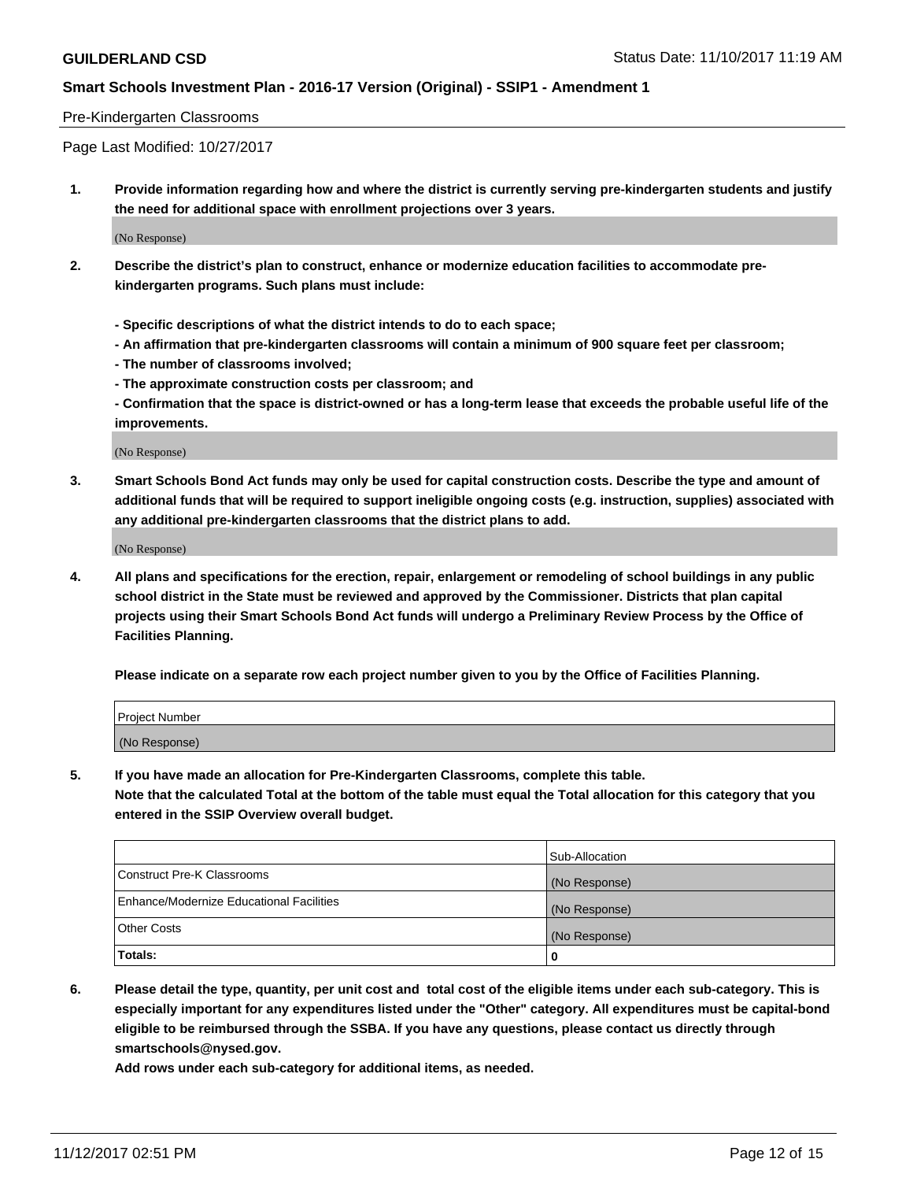#### Pre-Kindergarten Classrooms

Page Last Modified: 10/27/2017

**1. Provide information regarding how and where the district is currently serving pre-kindergarten students and justify the need for additional space with enrollment projections over 3 years.**

(No Response)

- **2. Describe the district's plan to construct, enhance or modernize education facilities to accommodate prekindergarten programs. Such plans must include:**
	- **Specific descriptions of what the district intends to do to each space;**
	- **An affirmation that pre-kindergarten classrooms will contain a minimum of 900 square feet per classroom;**
	- **The number of classrooms involved;**
	- **The approximate construction costs per classroom; and**

**- Confirmation that the space is district-owned or has a long-term lease that exceeds the probable useful life of the improvements.**

(No Response)

**3. Smart Schools Bond Act funds may only be used for capital construction costs. Describe the type and amount of additional funds that will be required to support ineligible ongoing costs (e.g. instruction, supplies) associated with any additional pre-kindergarten classrooms that the district plans to add.**

(No Response)

**4. All plans and specifications for the erection, repair, enlargement or remodeling of school buildings in any public school district in the State must be reviewed and approved by the Commissioner. Districts that plan capital projects using their Smart Schools Bond Act funds will undergo a Preliminary Review Process by the Office of Facilities Planning.**

**Please indicate on a separate row each project number given to you by the Office of Facilities Planning.**

| Project Number |  |
|----------------|--|
| (No Response)  |  |

**5. If you have made an allocation for Pre-Kindergarten Classrooms, complete this table.**

**Note that the calculated Total at the bottom of the table must equal the Total allocation for this category that you entered in the SSIP Overview overall budget.**

|                                          | Sub-Allocation |
|------------------------------------------|----------------|
| Construct Pre-K Classrooms               | (No Response)  |
| Enhance/Modernize Educational Facilities | (No Response)  |
| <b>Other Costs</b>                       | (No Response)  |
| <b>Totals:</b>                           | 0              |

**6. Please detail the type, quantity, per unit cost and total cost of the eligible items under each sub-category. This is especially important for any expenditures listed under the "Other" category. All expenditures must be capital-bond eligible to be reimbursed through the SSBA. If you have any questions, please contact us directly through smartschools@nysed.gov.**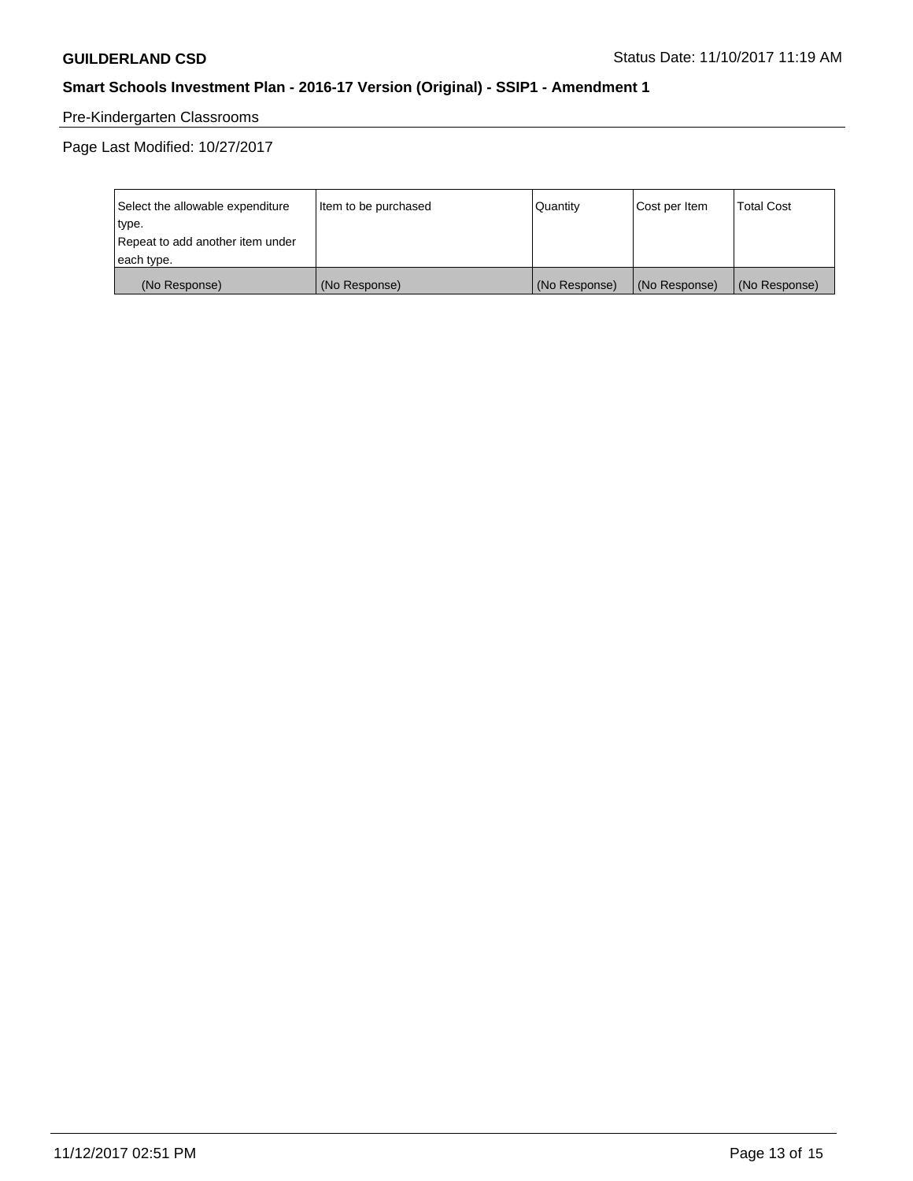# Pre-Kindergarten Classrooms

Page Last Modified: 10/27/2017

| Select the allowable expenditure | Item to be purchased | Quantity      | Cost per Item | <b>Total Cost</b> |
|----------------------------------|----------------------|---------------|---------------|-------------------|
| type.                            |                      |               |               |                   |
| Repeat to add another item under |                      |               |               |                   |
| each type.                       |                      |               |               |                   |
| (No Response)                    | (No Response)        | (No Response) | (No Response) | (No Response)     |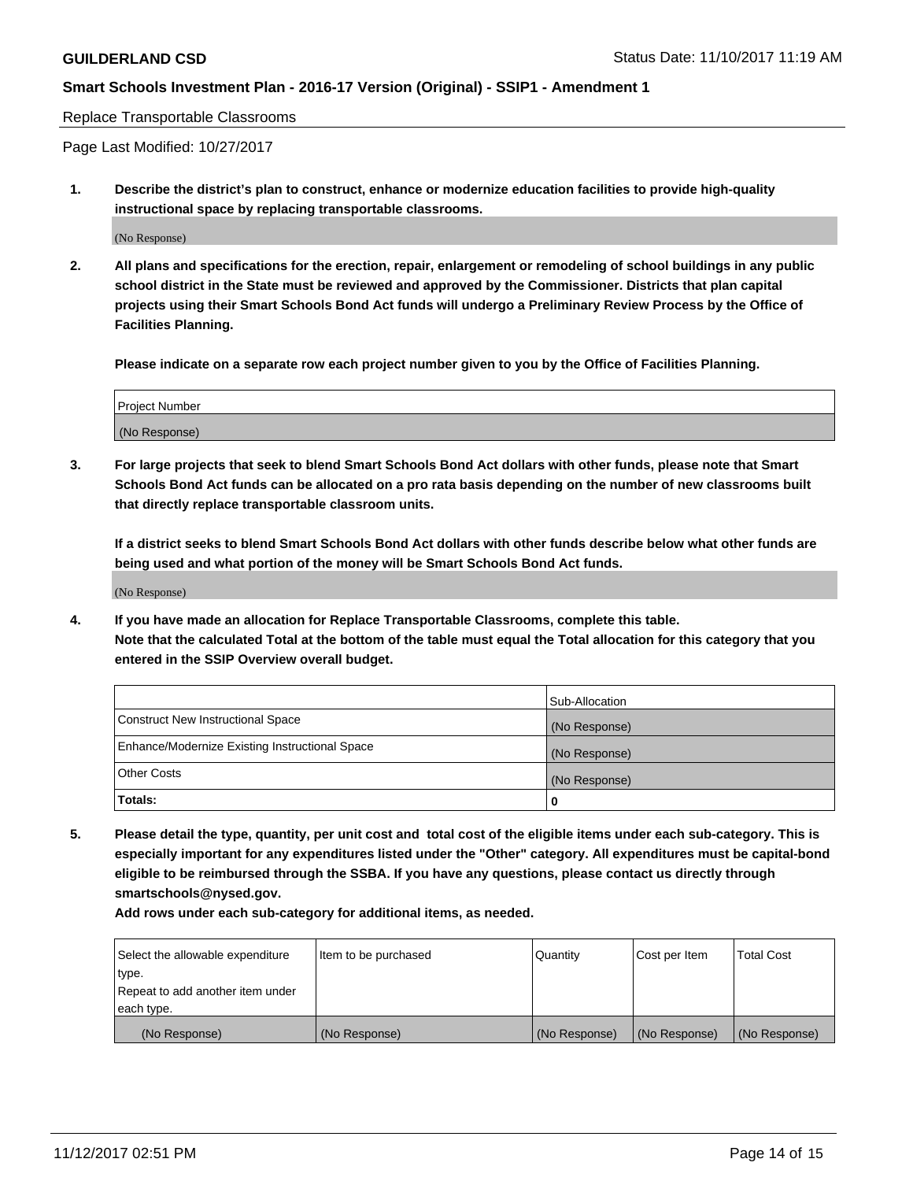Replace Transportable Classrooms

Page Last Modified: 10/27/2017

**1. Describe the district's plan to construct, enhance or modernize education facilities to provide high-quality instructional space by replacing transportable classrooms.**

(No Response)

**2. All plans and specifications for the erection, repair, enlargement or remodeling of school buildings in any public school district in the State must be reviewed and approved by the Commissioner. Districts that plan capital projects using their Smart Schools Bond Act funds will undergo a Preliminary Review Process by the Office of Facilities Planning.**

**Please indicate on a separate row each project number given to you by the Office of Facilities Planning.**

| <b>Project Number</b> |  |
|-----------------------|--|
| (No Response)         |  |

**3. For large projects that seek to blend Smart Schools Bond Act dollars with other funds, please note that Smart Schools Bond Act funds can be allocated on a pro rata basis depending on the number of new classrooms built that directly replace transportable classroom units.**

**If a district seeks to blend Smart Schools Bond Act dollars with other funds describe below what other funds are being used and what portion of the money will be Smart Schools Bond Act funds.**

(No Response)

**4. If you have made an allocation for Replace Transportable Classrooms, complete this table. Note that the calculated Total at the bottom of the table must equal the Total allocation for this category that you entered in the SSIP Overview overall budget.**

|                                                | Sub-Allocation |
|------------------------------------------------|----------------|
| Construct New Instructional Space              | (No Response)  |
| Enhance/Modernize Existing Instructional Space | (No Response)  |
| <b>Other Costs</b>                             | (No Response)  |
| Totals:                                        | 0              |

**5. Please detail the type, quantity, per unit cost and total cost of the eligible items under each sub-category. This is especially important for any expenditures listed under the "Other" category. All expenditures must be capital-bond eligible to be reimbursed through the SSBA. If you have any questions, please contact us directly through smartschools@nysed.gov.**

| Select the allowable expenditure<br>type.<br>Repeat to add another item under<br>each type. | Item to be purchased | Quantity      | Cost per Item | <b>Total Cost</b> |
|---------------------------------------------------------------------------------------------|----------------------|---------------|---------------|-------------------|
|                                                                                             |                      |               |               |                   |
| (No Response)                                                                               | (No Response)        | (No Response) | (No Response) | (No Response)     |